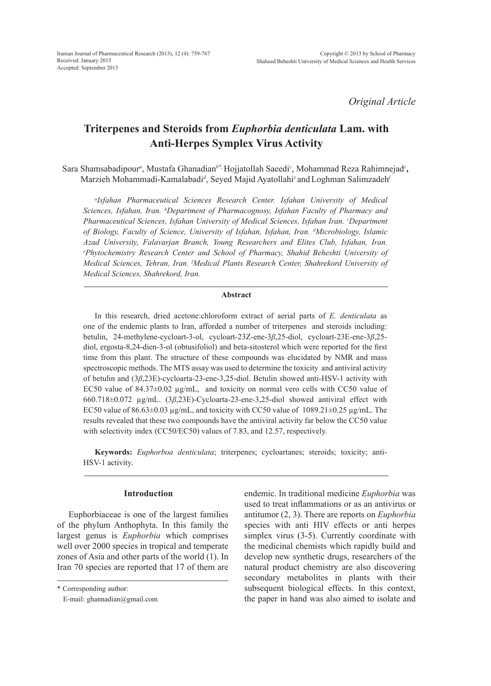*Original Article*

# **Triterpenes and Steroids from** *Euphorbia denticulata* **Lam. with Anti-Herpes Symplex Virus Activity**

Sara Shamsabadipour<sup>a</sup>, Mustafa Ghanadian<sup>b\*,</sup> Hojjatollah Saeedi<sup>c</sup>, Mohammad Reza Rahimnejad<sup>c</sup>, Marzieh Mohammadi-Kamalabadi*<sup>d</sup>* , Seyed Majid Ayatollahi*<sup>e</sup>* andLoghman Salimzadeh*<sup>f</sup>*

*a Isfahan Pharmaceutical Sciences Research Center. Isfahan University of Medical Sciences, Isfahan, Iran. b Department of Pharmacognosy, Isfahan Faculty of Pharmacy and*  Pharmaceutical Sciences, Isfahan University of Medical Sciences, Isfahan Iran. *°Department of Biology, Faculty of Science, University of Isfahan, Isfahan, Iran. d Microbiology, Islamic Azad University, Falavarjan Branch, Young Researchers and Elites Club, Isfahan, Iran. e Phytochemistry Research Center and School of Pharmacy, Shahid Beheshti University of Medical Sciences, Tehran, Iran. f Medical Plants Research Center, Shahrekord University of Medical Sciences, Shahrekord, Iran.*

# **Abstract**

In this research, dried acetone:chloroform extract of aerial parts of *E. denticulata* as one of the endemic plants to Iran, afforded a number of triterpenes and steroids including: betulin, 24-methylene-cycloart-3-ol, cycloart-23Z-ene-3*β*,25-diol, cycloart-23E-ene-3*β*,25 diol, ergosta-8,24-dien-3-ol (obtusifoliol) and beta-sitosterol which were reported for the first time from this plant. The structure of these compounds was elucidated by NMR and mass spectroscopic methods. The MTS assay was used to determine the toxicity and antiviral activity of betulin and (3*β*,23E)-cycloarta-23-ene-3,25-diol. Betulin showed anti-HSV-1 activity with EC50 value of 84.37±0.02 µg/mL, and toxicity on normal vero cells with CC50 value of 660.718±0.072 µg/mL. (3*β*,23E)-Cycloarta-23-ene-3,25-diol showed antiviral effect with EC50 value of 86.63±0.03 µg/mL, and toxicity with CC50 value of 1089.21±0.25 µg/mL. The results revealed that these two compounds have the antiviral activity far below the CC50 value with selectivity index (CC50/EC50) values of 7.83, and 12.57, respectively.

**Keywords:** *Euphorboa denticulata*; triterpenes; cycloartanes; steroids; toxicity; anti-HSV-1 activity.

## **Introduction**

Euphorbiaceae is one of the largest families of the phylum Anthophyta. In this family the largest genus is *Euphorbia* which comprises well over 2000 species in tropical and temperate zones of Asia and other parts of the world (1). In Iran 70 species are reported that 17 of them are

\* Corresponding author:

E-mail: ghannadian@gmail.com

endemic. In traditional medicine *Euphorbia* was used to treat inflammations or as an antivirus or antitumor (2, 3). There are reports on *Euphorbia*  species with anti HIV effects or anti herpes simplex virus (3-5). Currently coordinate with the medicinal chemists which rapidly build and develop new synthetic drugs, researchers of the natural product chemistry are also discovering secondary metabolites in plants with their subsequent biological effects. In this context, the paper in hand was also aimed to isolate and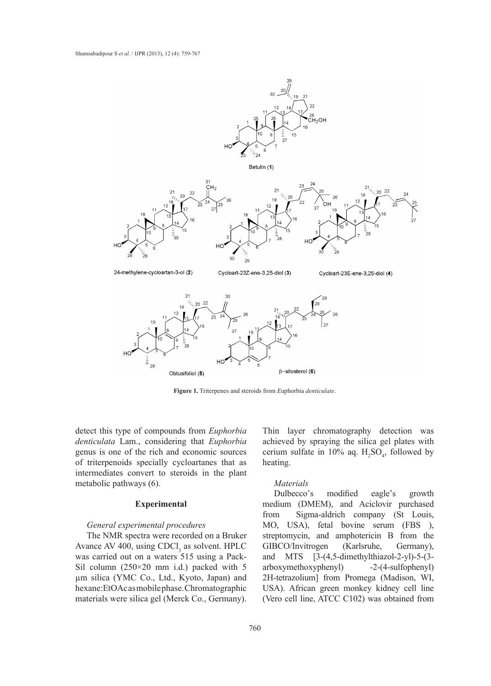

**Figure 1.** Triterpenes and steroids from *E*uphorbia *denticulate*.

detect this type of compounds from *Euphorbia denticulata* Lam., considering that *Euphorbia* genus is one of the rich and economic sources of triterpenoids specially cycloartanes that as intermediates convert to steroids in the plant metabolic pathways (6).

# **Experimental**

#### *General experimental procedures*

The NMR spectra were recorded on a Bruker Avance AV 400, using  $CDCl<sub>3</sub>$  as solvent. HPLC was carried out on a waters 515 using a Pack-Sil column (250×20 mm i.d.) packed with 5 µm silica (YMC Co., Ltd., Kyoto, Japan) and hexane:EtOAc as mobile phase. Chromatographic materials were silica gel (Merck Co., Germany).

Thin layer chromatography detection was achieved by spraying the silica gel plates with cerium sulfate in 10% aq.  $H_2SO_4$ , followed by heating.

# *Materials*

Dulbecco's modified eagle's growth medium (DMEM), and Aciclovir purchased from Sigma-aldrich company (St Louis, MO, USA), fetal bovine serum (FBS ), streptomycin, and amphotericin B from the GIBCO/Invitrogen (Karlsruhe, Germany), and MTS  $[3-(4,5-dimethylthiazol-2-yl)-5-(3-dimethylthiazol-2-yl)]$ arboxymethoxyphenyl) -2-(4-sulfophenyl) 2H-tetrazolium] from Promega (Madison, WI, USA). African green monkey kidney cell line (Vero cell line, ATCC C102) was obtained from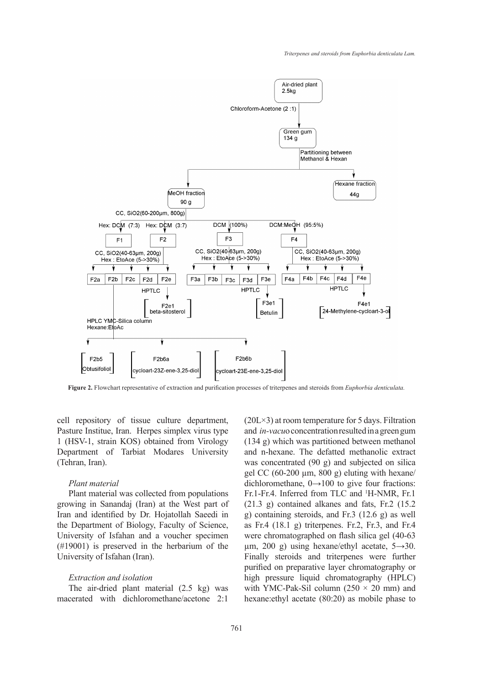

**Figure 2.** Flowchart representative of extraction and purification processes of triterpenes and steroids from *Euphorbia denticulata.*

cell repository of tissue culture department, Pasture Institue, Iran. Herpes simplex virus type 1 (HSV-1, strain KOS) obtained from Virology Department of Tarbiat Modares University (Tehran, Iran).

# *Plant material*

Plant material was collected from populations growing in Sanandaj (Iran) at the West part of Iran and identified by Dr. Hojatollah Saeedi in the Department of Biology, Faculty of Science, University of Isfahan and a voucher specimen (#19001) is preserved in the herbarium of the University of Isfahan (Iran).

#### *Extraction and isolation*

The air-dried plant material (2.5 kg) was macerated with dichloromethane/acetone 2:1

 $(20L\times3)$  at room temperature for 5 days. Filtration and *in-vacu*o concentration resulted in a green gum (134 g) which was partitioned between methanol and n-hexane. The defatted methanolic extract was concentrated (90 g) and subjected on silica gel CC (60-200  $\mu$ m, 800 g) eluting with hexane/ dichloromethane, 0**→**100 to give four fractions: Fr.1-Fr.4. Inferred from TLC and <sup>1</sup>H-NMR, Fr.1 (21.3 g) contained alkanes and fats, Fr.2 (15.2 g) containing steroids, and Fr.3 (12.6 g) as well as Fr.4 (18.1 g) triterpenes. Fr.2, Fr.3, and Fr.4 were chromatographed on flash silica gel (40-63 µm, 200 g) using hexane/ethyl acetate, 5**→**30. Finally steroids and triterpenes were further purified on preparative layer chromatography or high pressure liquid chromatography (HPLC) with YMC-Pak-Sil column ( $250 \times 20$  mm) and hexane:ethyl acetate (80:20) as mobile phase to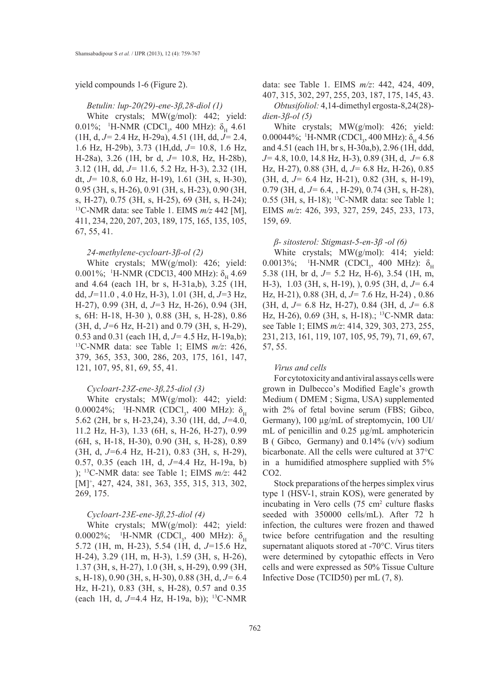yield compounds 1-6 (Figure 2).

#### *Betulin: lup-20(29)-ene-3β,28-diol (1)*

White crystals; MW(g/mol): 442; yield: 0.01%; <sup>1</sup>H-NMR (CDCl<sub>3</sub>, 400 MHz):  $\delta_{\rm H}$  4.61 (1H, d, *J=* 2.4 Hz, H-29a), 4.51 (1H, dd, *J=* 2.4, 1.6 Hz, H-29b), 3.73 (1H,dd, *J=* 10.8, 1.6 Hz, H-28a), 3.26 (1H, br d, *J=* 10.8, Hz, H-28b), 3.12 (1H, dd, *J=* 11.6, 5.2 Hz, H-3), 2.32 (1H, dt, *J=* 10.8, 6.0 Hz, H-19), 1.61 (3H, s, H-30), 0.95 (3H, s, H-26), 0.91 (3H, s, H-23), 0.90 (3H, s, H-27), 0.75 (3H, s, H-25), 69 (3H, s, H-24); 13C-NMR data: see Table 1. EIMS *m/z* 442 [M], 411, 234, 220, 207, 203, 189, 175, 165, 135, 105, 67, 55, 41.

#### *24-methylene-cycloart-3β-ol (2)*

White crystals; MW(g/mol): 426; yield: 0.001%; <sup>1</sup>H-NMR (CDCl3, 400 MHz): δ<sub>H</sub> 4.69 and 4.64 (each 1H, br s, H-31a,b), 3.25 (1H, dd, *J=*11.0 , 4.0 Hz, H-3), 1.01 (3H, d, *J=*3 Hz, H-27), 0.99 (3H, d, *J=*3 Hz, H-26), 0.94 (3H, s, 6H: H-18, H-30 ), 0.88 (3H, s, H-28), 0.86 (3H, d, *J=*6 Hz, H-21) and 0.79 (3H, s, H-29), 0.53 and 0.31 (each 1H, d, *J=* 4.5 Hz, H-19a,b); 13C-NMR data: see Table 1; EIMS *m/z*: 426, 379, 365, 353, 300, 286, 203, 175, 161, 147, 121, 107, 95, 81, 69, 55, 41.

# *Cycloart-23Z-ene-3β,25-diol (3)*

White crystals; MW(g/mol): 442; yield: 0.00024%; <sup>1</sup>H-NMR (CDCl<sub>3</sub>, 400 MHz):  $\delta_{\rm H}$ 5.62 (2H, br s, H-23,24), 3.30 (1H, dd, *J=*4.0, 11.2 Hz, H-3), 1.33 (6H, s, H-26, H-27), 0.99 (6H, s, H-18, H-30), 0.90 (3H, s, H-28), 0.89 (3H, d, *J=*6.4 Hz, H-21), 0.83 (3H, s, H-29), 0.57, 0.35 (each 1H, d, *J=*4.4 Hz, H-19a, b) ); 13C-NMR data: see Table 1; EIMS *m/z*: 442 [M]+, 427, 424, 381, 363, 355, 315, 313, 302, 269, 175.

# *Cycloart-23E-ene-3β,25-diol (4)*

White crystals; MW(g/mol): 442; yield: 0.0002%; <sup>1</sup>H-NMR (CDCl<sub>3</sub>, 400 MHz):  $\delta_{\rm H}$ 5.72 (1H, m, H-23), 5.54 (1H, d, *J=*15.6 Hz, H-24), 3.29 (1H, m, H-3), 1.59 (3H, s, H-26), 1.37 (3H, s, H-27), 1.0 (3H, s, H-29), 0.99 (3H, s, H-18), 0.90 (3H, s, H-30), 0.88 (3H, d, *J=* 6.4 Hz, H-21), 0.83 (3H, s, H-28), 0.57 and 0.35 (each 1H, d, *J=*4.4 Hz, H-19a, b)); 13C-NMR data: see Table 1. EIMS *m/z*: 442, 424, 409, 407, 315, 302, 297, 255, 203, 187, 175, 145, 43. *Obtusifoliol:* 4,14-dimethyl ergosta-8,24(28) *dien-3β-ol (5)*

White crystals; MW(g/mol): 426; yield: 0.00044%; <sup>1</sup>H-NMR (CDCl<sub>3</sub>, 400 MHz):  $\delta_{\rm H}$  4.56 and 4.51 (each 1H, br s, H-30a,b), 2.96 (1H, ddd, *J=* 4.8, 10.0, 14.8 Hz, H-3), 0.89 (3H, d, *J=* 6.8 Hz, H-27), 0.88 (3H, d, *J=* 6.8 Hz, H-26), 0.85 (3H, d, *J=* 6.4 Hz, H-21), 0.82 (3H, s, H-19), 0.79 (3H, d, *J=* 6.4, , H-29), 0.74 (3H, s, H-28), 0.55 (3H, s, H-18); 13C-NMR data: see Table 1; EIMS *m/z*: 426, 393, 327, 259, 245, 233, 173, 159, 69.

#### *β- sitosterol: Stigmast-5-en-3β -ol (6)*

White crystals; MW(g/mol): 414; yield:  $0.0013\%;$ H-NMR (CDCl<sub>3</sub>, 400 MHz):  $\delta$ <sub>H</sub> 5.38 (1H, br d, *J=* 5.2 Hz, H-6), 3.54 (1H, m, H-3), 1.03 (3H, s, H-19), ), 0.95 (3H, d, *J=* 6.4 Hz, H-21), 0.88 (3H, d, *J=* 7.6 Hz, H-24) , 0.86 (3H, d, *J=* 6.8 Hz, H-27), 0.84 (3H, d, *J=* 6.8 Hz, H-26), 0.69 (3H, s, H-18).; 13C-NMR data: see Table 1; EIMS *m/z*: 414, 329, 303, 273, 255, 231, 213, 161, 119, 107, 105, 95, 79), 71, 69, 67, 57, 55.

#### *Virus and cells*

For cytotoxicity and antiviral assays cells were grown in Dulbecco's Modified Eagle's growth Medium ( DMEM ; Sigma, USA) supplemented with 2% of fetal bovine serum (FBS; Gibco, Germany), 100 µg/mL of streptomycin, 100 UI/ mL of penicillin and 0.25 μg/mL amphotericin B ( Gibco, Germany) and  $0.14\%$  (v/v) sodium bicarbonate. All the cells were cultured at 37°C in a humidified atmosphere supplied with 5% CO2.

Stock preparations of the herpes simplex virus type 1 (HSV-1, strain KOS), were generated by incubating in Vero cells  $(75 \text{ cm}^2 \text{ culture flasks})$ seeded with 350000 cells/mL). After 72 h infection, the cultures were frozen and thawed twice before centrifugation and the resulting supernatant aliquots stored at -70°C. Virus titers were determined by cytopathic effects in Vero cells and were expressed as 50% Tissue Culture Infective Dose (TCID50) per mL (7, 8).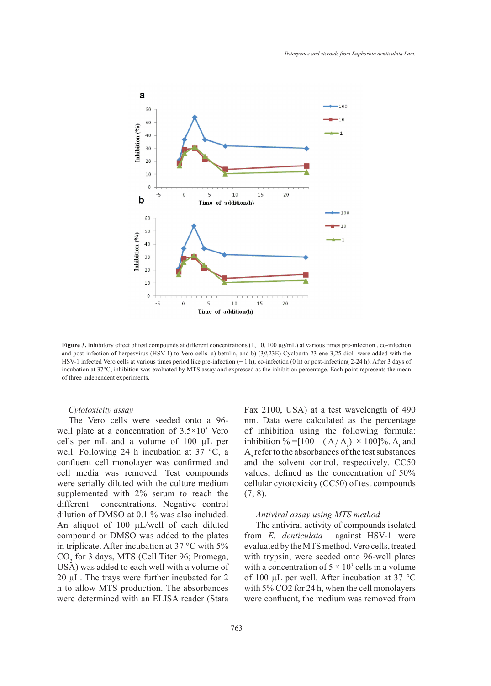

**Figure 3.** Inhibitory effect of test compounds at different concentrations  $(1, 10, 100 \mu\text{g/mL})$  at various times pre-infection, co-infection and post-infection of herpesvirus (HSV-1) to Vero cells. a) betulin, and b) (3*β*,23E)-Cycloarta-23-ene-3,25-diol were added with the HSV-1 infected Vero cells at various times period like pre-infection (− 1 h), co-infection (0 h) or post-infection( 2-24 h). After 3 days of incubation at 37°C, inhibition was evaluated by MTS assay and expressed as the inhibition percentage. Each point represents the mean of three independent experiments.

# *Cytotoxicity assay*

The Vero cells were seeded onto a 96 well plate at a concentration of  $3.5 \times 10^5$  Vero cells per mL and a volume of 100 µL per well. Following 24 h incubation at 37 °C, a confluent cell monolayer was confirmed and cell media was removed. Test compounds were serially diluted with the culture medium supplemented with 2% serum to reach the different concentrations. Negative control dilution of DMSO at 0.1 % was also included. An aliquot of 100 μL/well of each diluted compound or DMSO was added to the plates in triplicate. After incubation at 37 °C with 5% CO<sub>2</sub> for 3 days, MTS (Cell Titer 96; Promega, USA) was added to each well with a volume of 20 µL. The trays were further incubated for 2 h to allow MTS production. The absorbances were determined with an ELISA reader (Stata

Fax 2100, USA) at a test wavelength of 490 nm. Data were calculated as the percentage of inhibition using the following formula: inhibition % =  $[100 - (A/ A_s) \times 100]$ %. A<sub>t</sub> and  $A<sub>s</sub>$  refer to the absorbances of the test substances and the solvent control, respectively. CC50 values, defined as the concentration of 50% cellular cytotoxicity (CC50) of test compounds  $(7, 8)$ .

## *Antiviral assay using MTS method*

The antiviral activity of compounds isolated from *E. denticulata* against HSV-1 were evaluated by the MTS method. Vero cells, treated with trypsin, were seeded onto 96-well plates with a concentration of  $5 \times 10^3$  cells in a volume of 100 µL per well. After incubation at 37 °C with 5% CO2 for 24 h, when the cell monolayers were confluent, the medium was removed from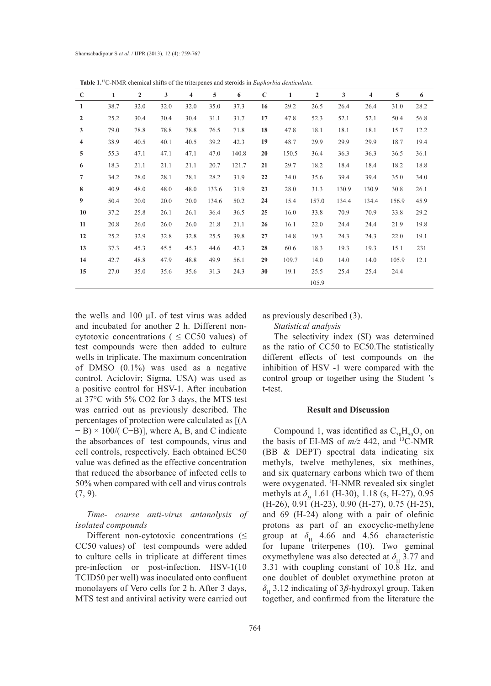| $\mathbf C$             | 1    | $\overline{2}$ | 3    | 4    | 5     | 6     | $\mathbf C$ | $\mathbf{1}$ | $\overline{2}$ | 3     | $\overline{\mathbf{4}}$ | 5     | 6    |
|-------------------------|------|----------------|------|------|-------|-------|-------------|--------------|----------------|-------|-------------------------|-------|------|
| 1                       | 38.7 | 32.0           | 32.0 | 32.0 | 35.0  | 37.3  | 16          | 29.2         | 26.5           | 26.4  | 26.4                    | 31.0  | 28.2 |
| $\overline{2}$          | 25.2 | 30.4           | 30.4 | 30.4 | 31.1  | 31.7  | 17          | 47.8         | 52.3           | 52.1  | 52.1                    | 50.4  | 56.8 |
| 3                       | 79.0 | 78.8           | 78.8 | 78.8 | 76.5  | 71.8  | 18          | 47.8         | 18.1           | 18.1  | 18.1                    | 15.7  | 12.2 |
| $\overline{\mathbf{4}}$ | 38.9 | 40.5           | 40.1 | 40.5 | 39.2  | 42.3  | 19          | 48.7         | 29.9           | 29.9  | 29.9                    | 18.7  | 19.4 |
| 5                       | 55.3 | 47.1           | 47.1 | 47.1 | 47.0  | 140.8 | 20          | 150.5        | 36.4           | 36.3  | 36.3                    | 36.5  | 36.1 |
| 6                       | 18.3 | 21.1           | 21.1 | 21.1 | 20.7  | 121.7 | 21          | 29.7         | 18.2           | 18.4  | 18.4                    | 18.2  | 18.8 |
| $\overline{7}$          | 34.2 | 28.0           | 28.1 | 28.1 | 28.2  | 31.9  | 22          | 34.0         | 35.6           | 39.4  | 39.4                    | 35.0  | 34.0 |
| 8                       | 40.9 | 48.0           | 48.0 | 48.0 | 133.6 | 31.9  | 23          | 28.0         | 31.3           | 130.9 | 130.9                   | 30.8  | 26.1 |
| 9                       | 50.4 | 20.0           | 20.0 | 20.0 | 134.6 | 50.2  | 24          | 15.4         | 157.0          | 134.4 | 134.4                   | 156.9 | 45.9 |
| 10                      | 37.2 | 25.8           | 26.1 | 26.1 | 36.4  | 36.5  | 25          | 16.0         | 33.8           | 70.9  | 70.9                    | 33.8  | 29.2 |
| 11                      | 20.8 | 26.0           | 26.0 | 26.0 | 21.8  | 21.1  | 26          | 16.1         | 22.0           | 24.4  | 24.4                    | 21.9  | 19.8 |
| 12                      | 25.2 | 32.9           | 32.8 | 32.8 | 25.5  | 39.8  | 27          | 14.8         | 19.3           | 24.3  | 24.3                    | 22.0  | 19.1 |
| 13                      | 37.3 | 45.3           | 45.5 | 45.3 | 44.6  | 42.3  | 28          | 60.6         | 18.3           | 19.3  | 19.3                    | 15.1  | 231  |
| 14                      | 42.7 | 48.8           | 47.9 | 48.8 | 49.9  | 56.1  | 29          | 109.7        | 14.0           | 14.0  | 14.0                    | 105.9 | 12.1 |
| 15                      | 27.0 | 35.0           | 35.6 | 35.6 | 31.3  | 24.3  | 30          | 19.1         | 25.5           | 25.4  | 25.4                    | 24.4  |      |
|                         |      |                |      |      |       |       |             |              | 105.9          |       |                         |       |      |

**Table 1.**13C-NMR chemical shifts of the triterpenes and steroids in *Euphorbia denticulata*.

the wells and 100 µL of test virus was added and incubated for another 2 h. Different noncytotoxic concentrations (  $\leq$  CC50 values) of test compounds were then added to culture wells in triplicate. The maximum concentration of DMSO (0.1%) was used as a negative control. Aciclovir; Sigma, USA) was used as a positive control for HSV-1. After incubation at 37°C with 5% CO2 for 3 days, the MTS test was carried out as previously described. The percentages of protection were calculated as [(A − B) × 100/( C−B)], where A, B, and C indicate the absorbances of test compounds, virus and cell controls, respectively. Each obtained EC50 value was defined as the effective concentration that reduced the absorbance of infected cells to 50% when compared with cell and virus controls  $(7, 9)$ .

# *Time- course anti-virus antanalysis of isolated compounds*

Different non-cytotoxic concentrations  $(\leq$ CC50 values) of test compounds were added to culture cells in triplicate at different times pre-infection or post-infection. HSV-1(10 TCID50 per well) was inoculated onto confluent monolayers of Vero cells for 2 h. After 3 days, MTS test and antiviral activity were carried out

as previously described (3).

*Statistical analysis*

The selectivity index (SI) was determined as the ratio of CC50 to EC50.The statistically different effects of test compounds on the inhibition of HSV -1 were compared with the control group or together using the Student 's t-test.

# **Result and Discussion**

Compound 1, was identified as  $C_{30}H_{50}O_2$  on the basis of EI-MS of  $m/z$  442, and <sup>13</sup>C-NMR (BB & DEPT) spectral data indicating six methyls, twelve methylenes, six methines, and six quaternary carbons which two of them were oxygenated. 1 H-NMR revealed six singlet methyls at  $\delta$ <sup>H</sup> 1.61 (H-30), 1.18 (s, H-27), 0.95 (H-26), 0.91 (H-23), 0.90 (H-27), 0.75 (H-25), and 69 (H-24) along with a pair of olefinic protons as part of an exocyclic-methylene group at  $\delta_{\rm H}$  4.66 and 4.56 characteristic for lupane triterpenes (10). Two geminal oxymethylene was also detected at  $\delta_{\rm H}$  3.77 and 3.31 with coupling constant of 10.8 Hz, and one doublet of doublet oxymethine proton at *δ*<sub>H</sub> 3.12 indicating of 3*β*-hydroxyl group. Taken together, and confirmed from the literature the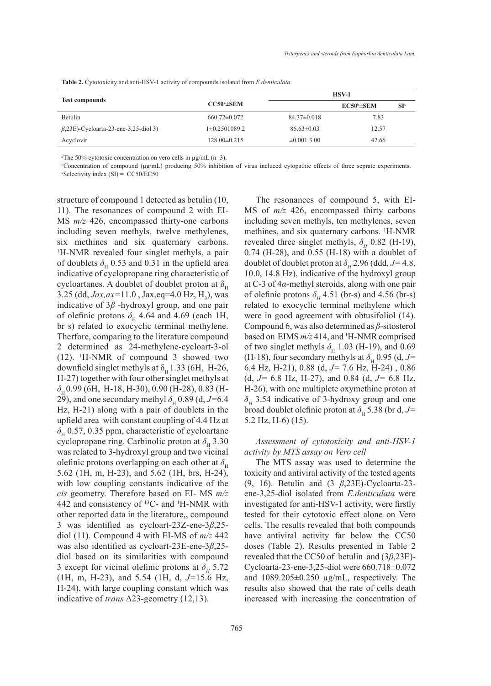|                                             |                    | <b>HSV-1</b>      |                       |                 |  |  |
|---------------------------------------------|--------------------|-------------------|-----------------------|-----------------|--|--|
| <b>Test compounds</b>                       | $CC50*±SEM$        |                   | $EC50^{\circ}\pm SEM$ | SI <sup>c</sup> |  |  |
| <b>Betulin</b>                              | $660.72 \pm 0.072$ | $84.37 \pm 0.018$ | 7.83                  |                 |  |  |
| $\beta$ ,23E)-Cycloarta-23-ene-3,25-diol 3) | $1\pm 0.2501089.2$ | $86.63 \pm 0.03$  | 12.57                 |                 |  |  |
| Acyclovir                                   | $128.00 \pm 0.215$ | $\pm 0.001$ 3.00  | 42.66                 |                 |  |  |

**Table 2.** Cytotoxicity and anti-HSV-1 activity of compounds isolated from *E.denticulata*.

a The 50% cytotoxic concentration on vero cells in µg/mL (n=3).

b Concentration of compound (µg/mL) producing 50% inhibition of virus incluced cytopathic effects of three seprate experiments.  $c$ Selectivity index (SI) = CC50/EC50

structure of compound 1 detected as betulin (10, 11). The resonances of compound 2 with EI-MS *m/z* 426, encompassed thirty-one carbons including seven methyls, twelve methylenes, six methines and six quaternary carbons. 1 H-NMR revealed four singlet methyls, a pair of doublets  $\delta_{\rm H}$  0.53 and 0.31 in the upfield area indicative of cyclopropane ring characteristic of cycloartanes. A doublet of doublet proton at  $\delta$ <sub>H</sub> 3.25 (dd, *Jax*, *ax*=11.0, Jax, eq=4.0 Hz, H<sub>3</sub>), was indicative of 3*β* -hydroxyl group, and one pair of olefinic protons  $\delta_{\rm H}$  4.64 and 4.69 (each 1H, br s) related to exocyclic terminal methylene. Therfore, comparing to the literature compound 2 determined as 24-methylene-cycloart-3-ol (12). 1 H-NMR of compound 3 showed two downfield singlet methyls at  $\delta_H$  1.33 (6H, H-26, H-27) together with four other singlet methyls at  $\delta$ <sub>H</sub> 0.99 (6H, H-18, H-30), 0.90 (H-28), 0.83 (H-29), and one secondary methyl  $\delta_H$  0.89 (d, *J*=6.4 Hz, H-21) along with a pair of doublets in the upfield area with constant coupling of 4.4 Hz at  $\delta_{\rm H}$  0.57, 0.35 ppm, characteristic of cycloartane cyclopropane ring. Carbinolic proton at  $\delta_{\rm H}$  3.30 was related to 3-hydroxyl group and two vicinal olefinic protons overlapping on each other at  $\delta$ <sub>H</sub> 5.62 (1H, m, H-23), and 5.62 (1H, brs, H-24), with low coupling constants indicative of the *cis* geometry. Therefore based on EI- MS *m/z* 442 and consistency of  $^{13}C$ - and  $^{1}H$ -NMR with other reported data in the literature,, compound 3 was identified as cycloart-23Z-ene-3*β*,25 diol (11). Compound 4 with EI-MS of *m/z* 442 was also identified as cycloart-23E-ene-3*β*,25 diol based on its similarities with compound 3 except for vicinal olefinic protons at  $\delta$ <sup>H</sup> 5.72 (1H, m, H-23), and 5.54 (1H, d, *J=*15.6 Hz, H-24), with large coupling constant which was indicative of *trans* Δ23-geometry (12,13).

The resonances of compound 5, with EI-MS of *m/z* 426, encompassed thirty carbons including seven methyls, ten methylenes, seven methines, and six quaternary carbons. <sup>1</sup>H-NMR revealed three singlet methyls,  $\delta$ <sup>H</sup> 0.82 (H-19), 0.74 (H-28), and 0.55 (H-18) with a doublet of doublet of doublet proton at  $\delta_H$  2.96 (ddd,  $J=4.8$ , 10.0, 14.8 Hz), indicative of the hydroxyl group at C-3 of 4*α*-methyl steroids, along with one pair of olefinic protons  $\delta_H$  4.51 (br-s) and 4.56 (br-s) related to exocyclic terminal methylene which were in good agreement with obtusifoliol (14). Compound 6, was also determined as *β*-sitosterol based on EIMS  $m/z$  414, and <sup>1</sup>H-NMR comprised of two singlet methyls  $\delta_{\rm H}$  1.03 (H-19), and 0.69 (H-18), four secondary methyls at  $\delta$ <sub>H</sub> 0.95 (d, *J*= 6.4 Hz, H-21), 0.88 (d, *J=* 7.6 Hz, H-24) , 0.86 (d, *J=* 6.8 Hz, H-27), and 0.84 (d, *J=* 6.8 Hz, H-26), with one multiplete oxymethine proton at  $\delta$ <sup>*H*</sup> 3.54 indicative of 3-hydroxy group and one broad doublet olefinic proton at  $\delta$ <sub>H</sub> 5.38 (br d, *J*= 5.2 Hz, H-6) (15).

# *Assessment of cytotoxicity and anti-HSV-1 activity by MTS assay on Vero cell*

The MTS assay was used to determine the toxicity and antiviral activity of the tested agents (9, 16). Betulin and (3 *β*,23E)-Cycloarta-23 ene-3,25-diol isolated from *E.denticulata* were investigated for anti-HSV-1 activity, were firstly tested for their cytotoxic effect alone on Vero cells. The results revealed that both compounds have antiviral activity far below the CC50 doses (Table 2). Results presented in Table 2 revealed that the CC50 of betulin and (3*β*,23E)- Cycloarta-23-ene-3,25-diol were 660.718±0.072 and 1089.205±0.250 µg/mL, respectively. The results also showed that the rate of cells death increased with increasing the concentration of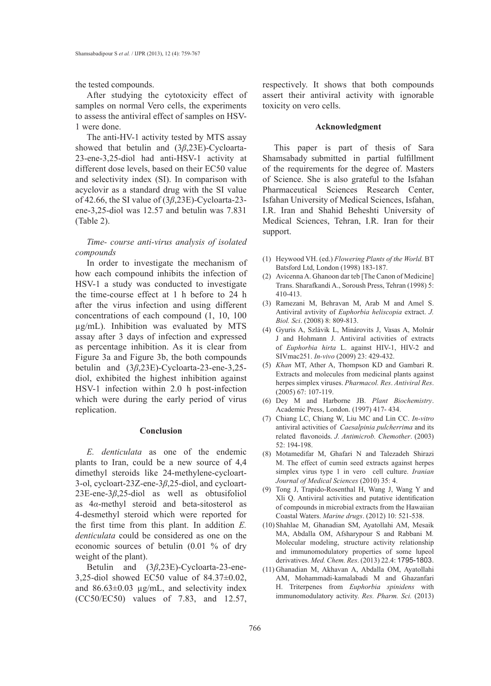# the tested compounds.

After studying the cytotoxicity effect of samples on normal Vero cells, the experiments to assess the antiviral effect of samples on HSV-1 were done.

The anti-HV-1 activity tested by MTS assay showed that betulin and (3*β*,23E)-Cycloarta-23-ene-3,25-diol had anti-HSV-1 activity at different dose levels, based on their EC50 value and selectivity index (SI). In comparison with acyclovir as a standard drug with the SI value of 42.66, the SI value of (3*β*,23E)-Cycloarta-23 ene-3,25-diol was 12.57 and betulin was 7.831 (Table 2).

# *Time- course anti-virus analysis of isolated compounds*

In order to investigate the mechanism of how each compound inhibits the infection of HSV-1 a study was conducted to investigate the time-course effect at 1 h before to 24 h after the virus infection and using different concentrations of each compound (1, 10, 100 µg/mL). Inhibition was evaluated by MTS assay after 3 days of infection and expressed as percentage inhibition. As it is clear from Figure 3a and Figure 3b, the both compounds betulin and (3*β*,23E)-Cycloarta-23-ene-3,25 diol, exhibited the highest inhibition against HSV-1 infection within 2.0 h post-infection which were during the early period of virus replication.

# **Conclusion**

*E. denticulata* as one of the endemic plants to Iran, could be a new source of 4,4 dimethyl steroids like 24-methylene-cycloart-3-ol, cycloart-23Z-ene-3*β*,25-diol, and cycloart-23E-ene-3*β*,25-diol as well as obtusifoliol as 4*α*-methyl steroid and beta-sitosterol as 4-desmethyl steroid which were reported for the first time from this plant. In addition *E. denticulata* could be considered as one on the economic sources of betulin (0.01 % of dry weight of the plant).

Betulin and (3*β*,23E)-Cycloarta-23-ene-3,25-diol showed EC50 value of 84.37±0.02, and  $86.63\pm0.03$  µg/mL, and selectivity index (CC50/EC50) values of 7.83, and 12.57, respectively. It shows that both compounds assert their antiviral activity with ignorable toxicity on vero cells.

# **Acknowledgment**

This paper is part of thesis of Sara Shamsabady submitted in partial fulfillment of the requirements for the degree of. Masters of Science. She is also grateful to the Isfahan Pharmaceutical Sciences Research Center, Isfahan University of Medical Sciences, Isfahan, I.R. Iran and Shahid Beheshti University of Medical Sciences, Tehran, I.R. Iran for their support.

- (1) Heywood VH. (ed.) *Flowering Plants of the World*. BT Batsford Ltd, London (1998) 183-187.
- (2) Avicenna A. Ghanoon dar teb [The Canon of Medicine] Trans. Sharafkandi A., Soroush Press, Tehran (1998) 5: 410-413.
- (3) Ramezani M, Behravan M, Arab M and Amel S. Antiviral avtivity of *Euphorbia heliscopia* extract. *J. Biol. Sci*. (2008) 8: 809-813.
- Gyuris A, Szlávik L, Minárovits J, Vasas A, Molnár (4) J and Hohmann J. Antiviral activities of extracts of *Euphorbia hirta* L. against HIV-1, HIV-2 and SIVmac251. *In-vivo* (2009) 23: 429-432.
- *Khan* MT, Ather A, Thompson KD and Gambari R. (5) Extracts and molecules from medicinal plants against herpes simplex viruses. *Pharmacol. Res*. *Antiviral Res*. (2005) 67: 107-119.
- Dey M and Harborne JB. *Plant Biochemistry*. (6) Academic Press, London. (1997) 417- 434.
- Chiang LC, Chiang W, Liu MC and Lin CC. *In-vitro* (7) antiviral activities of *Caesalpinia pulcherrima* and its related flavonoids. *J. Antimicrob. Chemother*. (2003) 52: 194-198.
- (8) Motamedifar M, Ghafari N and Talezadeh Shirazi M. The effect of cumin seed extracts against herpes simplex virus type 1 in vero cell culture. *Iranian Journal of Medical Sciences* (2010) 35: 4.
- (9) Tong J, Trapido-Rosenthal H, Wang J, Wang Y and Xli Q. Antiviral activities and putative identification of compounds in microbial extracts from the Hawaiian Coastal Waters. *Marine drugs*. (2012) 10: 521-538.
- (10) Shahlae M, Ghanadian SM, Ayatollahi AM, Mesaik MA, Abdalla OM, Afsharypour S and Rabbani M*.*  Molecular modeling, structure activity relationship and immunomodulatory properties of some lupeol derivatives. *Med. Chem. Res*. (2013) 22.4: 1795-1803.
- Ghanadian M, Akhavan A, Abdalla OM, Ayatollahi (11)AM, Mohammadi-kamalabadi M and Ghazanfari H. Triterpenes from *Euphorbia spinidens* with immunomodulatory activity. *Res. Pharm. Sci.* (2013)